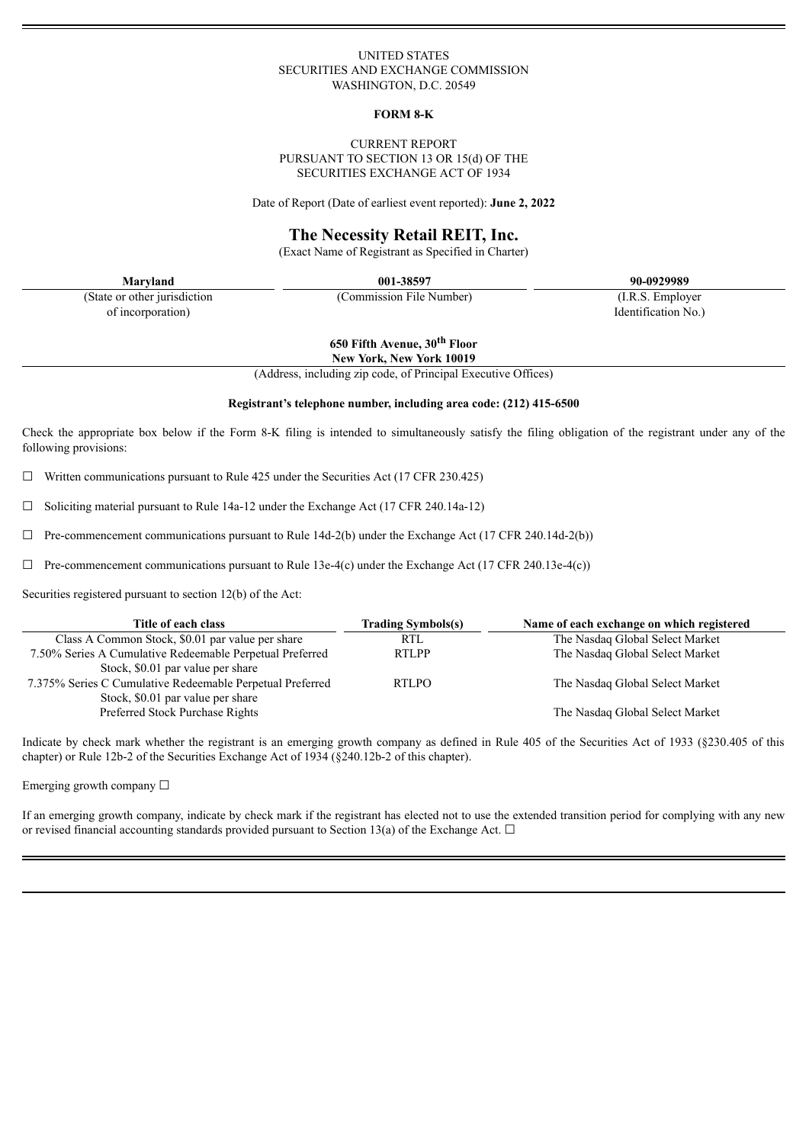#### UNITED STATES SECURITIES AND EXCHANGE COMMISSION WASHINGTON, D.C. 20549

#### **FORM 8-K**

#### CURRENT REPORT PURSUANT TO SECTION 13 OR 15(d) OF THE SECURITIES EXCHANGE ACT OF 1934

Date of Report (Date of earliest event reported): **June 2, 2022**

# **The Necessity Retail REIT, Inc.**

(Exact Name of Registrant as Specified in Charter)

(State or other jurisdiction of incorporation)

**Maryland 001-38597 90-0929989**

(Commission File Number) (I.R.S. Employer

**650 Fifth Avenue, 30 th Floor**

Identification No.)

**New York, New York 10019**

(Address, including zip code, of Principal Executive Offices)

#### **Registrant's telephone number, including area code: (212) 415-6500**

Check the appropriate box below if the Form 8-K filing is intended to simultaneously satisfy the filing obligation of the registrant under any of the following provisions:

 $\Box$  Written communications pursuant to Rule 425 under the Securities Act (17 CFR 230.425)

 $\Box$  Soliciting material pursuant to Rule 14a-12 under the Exchange Act (17 CFR 240.14a-12)

 $\Box$  Pre-commencement communications pursuant to Rule 14d-2(b) under the Exchange Act (17 CFR 240.14d-2(b))

 $\Box$  Pre-commencement communications pursuant to Rule 13e-4(c) under the Exchange Act (17 CFR 240.13e-4(c))

Securities registered pursuant to section 12(b) of the Act:

| Title of each class                                       | <b>Trading Symbols(s)</b> | Name of each exchange on which registered |
|-----------------------------------------------------------|---------------------------|-------------------------------------------|
| Class A Common Stock, \$0.01 par value per share          | <b>RTL</b>                | The Nasdaq Global Select Market           |
| 7.50% Series A Cumulative Redeemable Perpetual Preferred  | <b>RTLPP</b>              | The Nasdaq Global Select Market           |
| Stock, \$0.01 par value per share                         |                           |                                           |
| 7.375% Series C Cumulative Redeemable Perpetual Preferred | <b>RTLPO</b>              | The Nasdaq Global Select Market           |
| Stock, \$0.01 par value per share                         |                           |                                           |
| Preferred Stock Purchase Rights                           |                           | The Nasdaq Global Select Market           |

Indicate by check mark whether the registrant is an emerging growth company as defined in Rule 405 of the Securities Act of 1933 (§230.405 of this chapter) or Rule 12b-2 of the Securities Exchange Act of 1934 (§240.12b-2 of this chapter).

Emerging growth company ☐

If an emerging growth company, indicate by check mark if the registrant has elected not to use the extended transition period for complying with any new or revised financial accounting standards provided pursuant to Section 13(a) of the Exchange Act.  $\Box$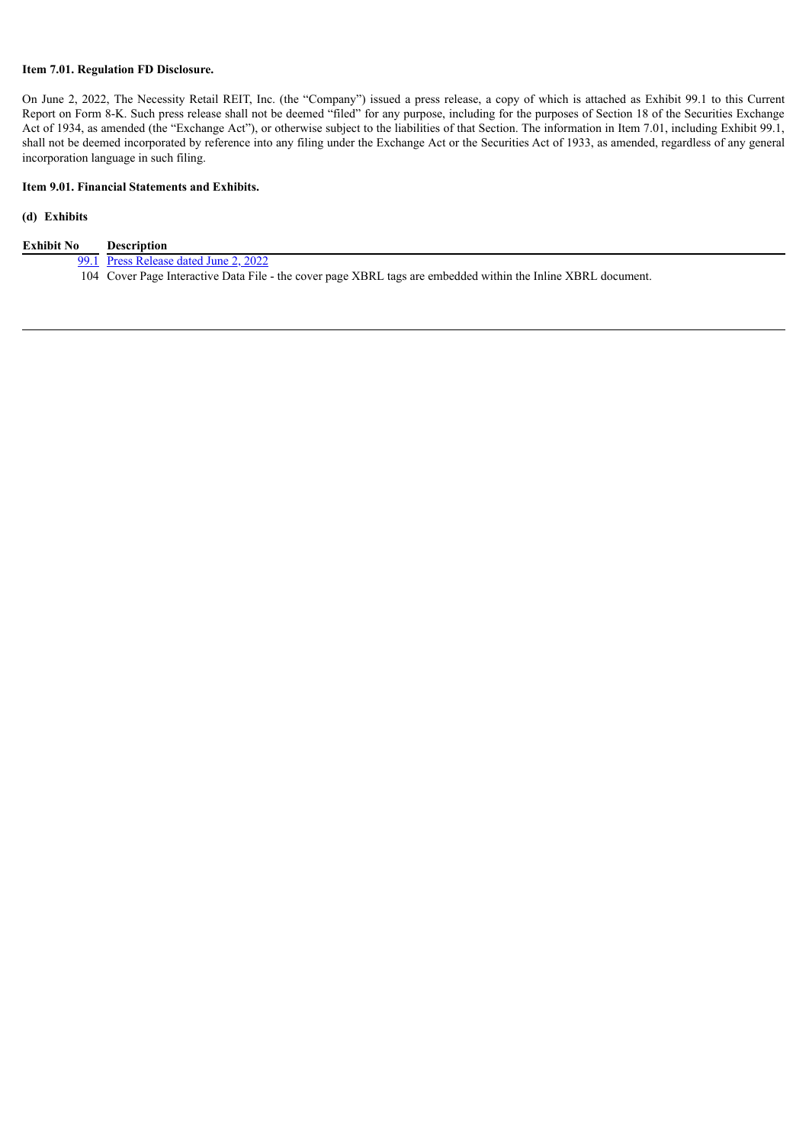## **Item 7.01. Regulation FD Disclosure.**

On June 2, 2022, The Necessity Retail REIT, Inc. (the "Company") issued a press release, a copy of which is attached as Exhibit 99.1 to this Current Report on Form 8-K. Such press release shall not be deemed "filed" for any purpose, including for the purposes of Section 18 of the Securities Exchange Act of 1934, as amended (the "Exchange Act"), or otherwise subject to the liabilities of that Section. The information in Item 7.01, including Exhibit 99.1, shall not be deemed incorporated by reference into any filing under the Exchange Act or the Securities Act of 1933, as amended, regardless of any general incorporation language in such filing.

## **Item 9.01. Financial Statements and Exhibits.**

# **(d) Exhibits**

| Exhibit No | <b>Description</b>                                                                                            |
|------------|---------------------------------------------------------------------------------------------------------------|
|            | 99.1 Press Release dated June 2, 2022                                                                         |
|            | 104 Cover Page Interactive Data File - the cover page XBRL tags are embedded within the Inline XBRL document. |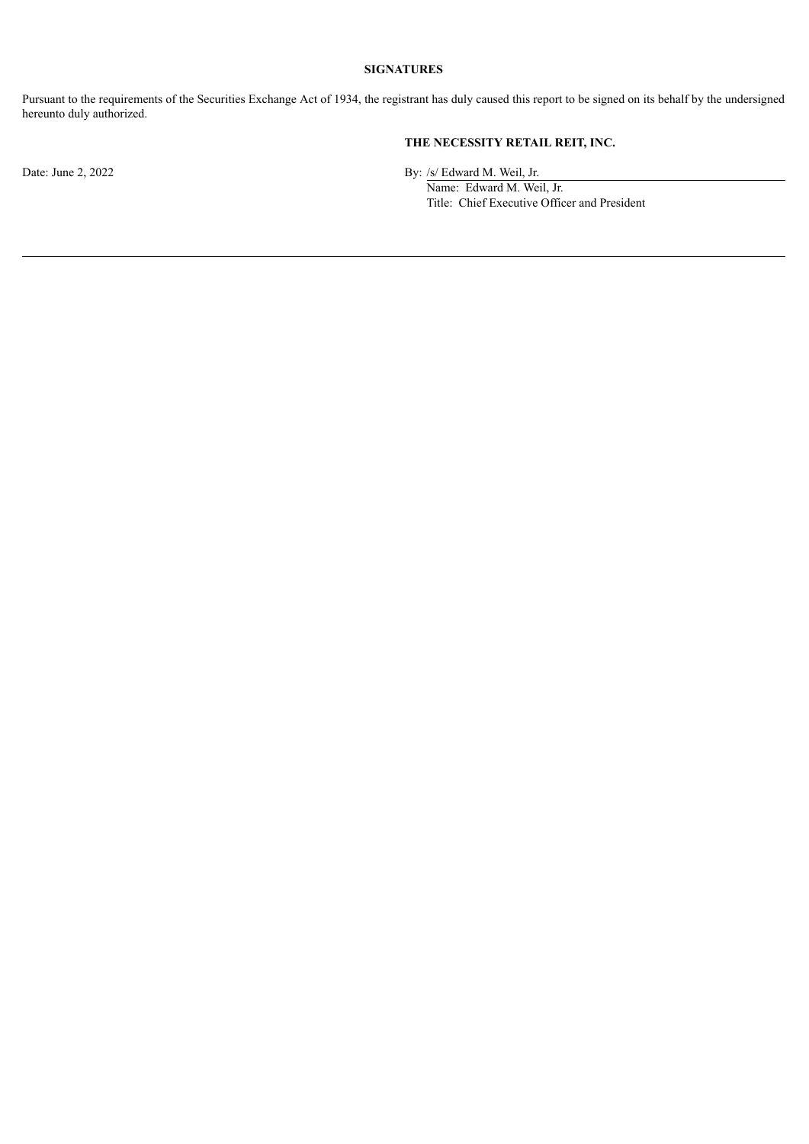# **SIGNATURES**

Pursuant to the requirements of the Securities Exchange Act of 1934, the registrant has duly caused this report to be signed on its behalf by the undersigned hereunto duly authorized.

# **THE NECESSITY RETAIL REIT, INC.**

Date: June 2, 2022 By: /s/ Edward M. Weil, Jr.

Name: Edward M. Weil, Jr. Title: Chief Executive Officer and President